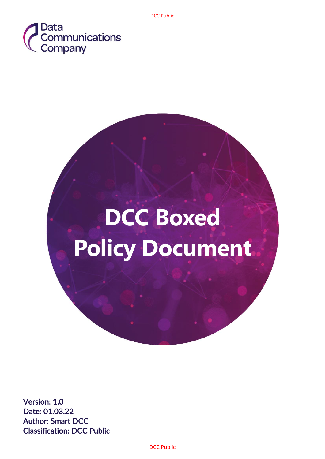

# **DCC Boxed Policy Document**

Version: 1.0 Date: 01.03.22 Author: Smart DCC Classification: DCC Public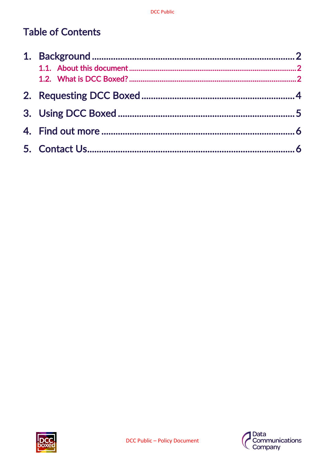# **Table of Contents**



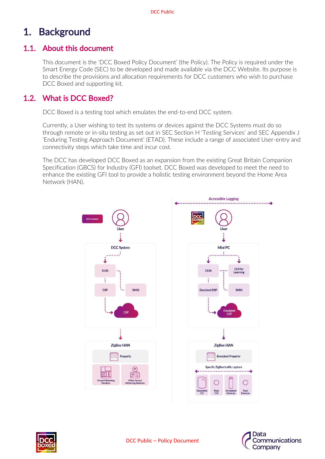# <span id="page-2-0"></span>1. Background

## <span id="page-2-1"></span>1.1. About this document

This document is the 'DCC Boxed Policy Document' (the Policy). The Policy is required under the Smart Energy Code (SEC) to be developed and made available via the DCC Website. Its purpose is to describe the provisions and allocation requirements for DCC customers who wish to purchase DCC Boxed and supporting kit.

## <span id="page-2-2"></span>1.2. What is DCC Boxed?

DCC Boxed is a testing tool which emulates the end-to-end DCC system.

Currently, a User wishing to test its systems or devices against the DCC Systems must do so through remote or in-situ testing as set out in SEC Section H 'Testing Services' and SEC Appendix J 'Enduring Testing Approach Document' (ETAD). These include a range of associated User-entry and connectivity steps which take time and incur cost.

The DCC has developed DCC Boxed as an expansion from the existing Great Britain Companion Specification (GBCS) for Industry (GFI) toolset. DCC Boxed was developed to meet the need to enhance the existing GFI tool to provide a holistic testing environment beyond the Home Area Network (HAN).





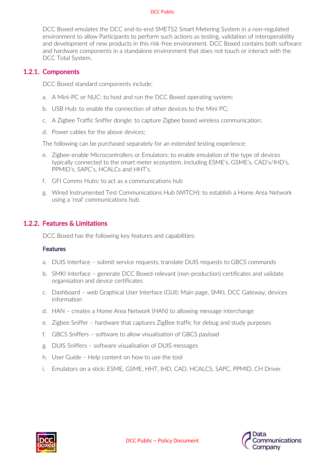#### DCC Public

DCC Boxed emulates the DCC end-to-end SMETS2 Smart Metering System in a non-regulated environment to allow Participants to perform such actions as testing, validation of interoperability and development of new products in this risk-free environment. DCC Boxed contains both software and hardware components in a standalone environment that does not touch or interact with the DCC Total System.

## 1.2.1. Components

DCC Boxed standard components include:

- a. A Mini-PC or NUC: to host and run the DCC Boxed operating system;
- b. USB Hub: to enable the connection of other devices to the Mini PC;
- c. A Zigbee Traffic Sniffer dongle: to capture Zigbee based wireless communication;
- d. Power cables for the above devices;

The following can be purchased separately for an extended testing experience:

- e. Zigbee-enable Microcontrollers or Emulators: to enable emulation of the type of devices typically connected to the smart meter ecosystem, including ESME's, GSME's, CAD's/IHD's, PPMID's, SAPC's, HCALCs and HHT's.
- f. GFI Comms Hubs: to act as a communications hub
- g. Wired Instrumented Test Communications Hub (WITCH): to establish a Home Area Network using a 'real' communications hub.

## 1.2.2. Features & Limitations

DCC Boxed has the following key features and capabilities:

### Features

- a. DUIS Interface submit service requests, translate DUIS requests to GBCS commands
- b. SMKI Interface generate DCC Boxed-relevant (non-production) certificates and validate organisation and device certificates
- c. Dashboard web Graphical User Interface (GUI): Main page, SMKI, DCC Gateway, devices information
- d. HAN creates a Home Area Network (HAN) to allowing message interchange
- e. Zigbee Sniffer hardware that captures ZigBee traffic for debug and study purposes
- f. GBCS Sniffers software to allow visualisation of GBCS payload
- g. DUIS Sniffers software visualisation of DUIS messages
- h. User Guide Help content on how to use the tool
- i. Emulators on a stick: ESME, GSME, HHT, IHD, CAD, HCALCS, SAPC, PPMID, CH Driver.



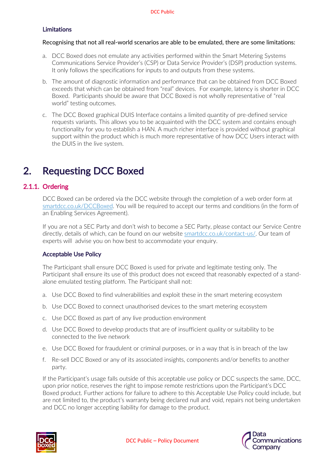## Limitations

#### Recognising that not all real-world scenarios are able to be emulated, there are some limitations:

- a. DCC Boxed does not emulate any activities performed within the Smart Metering Systems Communications Service Provider's (CSP) or Data Service Provider's (DSP) production systems. It only follows the specifications for inputs to and outputs from these systems.
- b. The amount of diagnostic information and performance that can be obtained from DCC Boxed exceeds that which can be obtained from "real" devices. For example, latency is shorter in DCC Boxed. Participants should be aware that DCC Boxed is not wholly representative of "real world" testing outcomes.
- c. The DCC Boxed graphical DUIS Interface contains a limited quantity of pre-defined service requests variants. This allows you to be acquainted with the DCC system and contains enough functionality for you to establish a HAN. A much richer interface is provided without graphical support within the product which is much more representative of how DCC Users interact with the DUIS in the live system.

# <span id="page-4-0"></span>2. Requesting DCC Boxed

## 2.1.1. Ordering

DCC Boxed can be ordered via the DCC website through the completion of a web order form at smartdcc.co.uk/DCCBoxed. You will be required to accept our terms and conditions (in the form of an Enabling Services Agreement).

If you are not a SEC Party and don't wish to become a SEC Party, please contact our Service Centre directly, details of which, can be found on our website smartdcc.co.uk/contact-us/. Our team of experts will advise you on how best to accommodate your enquiry.

## Acceptable Use Policy

The Participant shall ensure DCC Boxed is used for private and legitimate testing only. The Participant shall ensure its use of this product does not exceed that reasonably expected of a standalone emulated testing platform. The Participant shall not:

- a. Use DCC Boxed to find vulnerabilities and exploit these in the smart metering ecosystem
- b. Use DCC Boxed to connect unauthorised devices to the smart metering ecosystem
- c. Use DCC Boxed as part of any live production environment
- d. Use DCC Boxed to develop products that are of insufficient quality or suitability to be connected to the live network
- e. Use DCC Boxed for fraudulent or criminal purposes, or in a way that is in breach of the law
- f. Re-sell DCC Boxed or any of its associated insights, components and/or benefits to another party.

If the Participant's usage falls outside of this acceptable use policy or DCC suspects the same, DCC, upon prior notice, reserves the right to impose remote restrictions upon the Participant's DCC Boxed product. Further actions for failure to adhere to this Acceptable Use Policy could include, but are not limited to, the product's warranty being declared null and void, repairs not being undertaken and DCC no longer accepting liability for damage to the product.



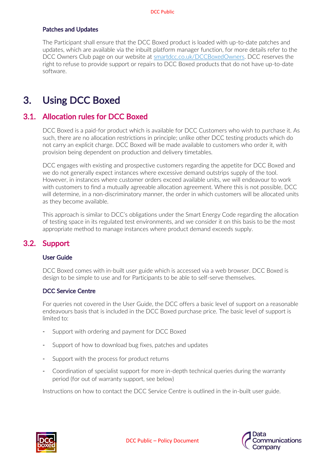### Patches and Updates

The Participant shall ensure that the DCC Boxed product is loaded with up-to-date patches and updates, which are available via the inbuilt platform manager function, for more details refer to the DCC Owners Club page on our website at smartdcc.co.uk/DCCBoxedOwners. DCC reserves the right to refuse to provide support or repairs to DCC Boxed products that do not have up-to-date software.

## <span id="page-5-0"></span>3. Using DCC Boxed

## 3.1. Allocation rules for DCC Boxed

DCC Boxed is a paid-for product which is available for DCC Customers who wish to purchase it. As such, there are no allocation restrictions in principle; unlike other DCC testing products which do not carry an explicit charge. DCC Boxed will be made available to customers who order it, with provision being dependent on production and delivery timetables.

DCC engages with existing and prospective customers regarding the appetite for DCC Boxed and we do not generally expect instances where excessive demand outstrips supply of the tool. However, in instances where customer orders exceed available units, we will endeavour to work with customers to find a mutually agreeable allocation agreement. Where this is not possible, DCC will determine, in a non-discriminatory manner, the order in which customers will be allocated units as they become available.

This approach is similar to DCC's obligations under the Smart Energy Code regarding the allocation of testing space in its regulated test environments, and we consider it on this basis to be the most appropriate method to manage instances where product demand exceeds supply.

## 3.2. Support

#### User Guide

DCC Boxed comes with in-built user guide which is accessed via a web browser. DCC Boxed is design to be simple to use and for Participants to be able to self-serve themselves.

#### DCC Service Centre

For queries not covered in the User Guide, the DCC offers a basic level of support on a reasonable endeavours basis that is included in the DCC Boxed purchase price. The basic level of support is limited to:

- Support with ordering and payment for DCC Boxed
- Support of how to download bug fixes, patches and updates
- Support with the process for product returns
- Coordination of specialist support for more in-depth technical queries during the warranty period (for out of warranty support, see below)

Instructions on how to contact the DCC Service Centre is outlined in the in-built user guide.

![](_page_5_Picture_18.jpeg)

![](_page_5_Picture_19.jpeg)